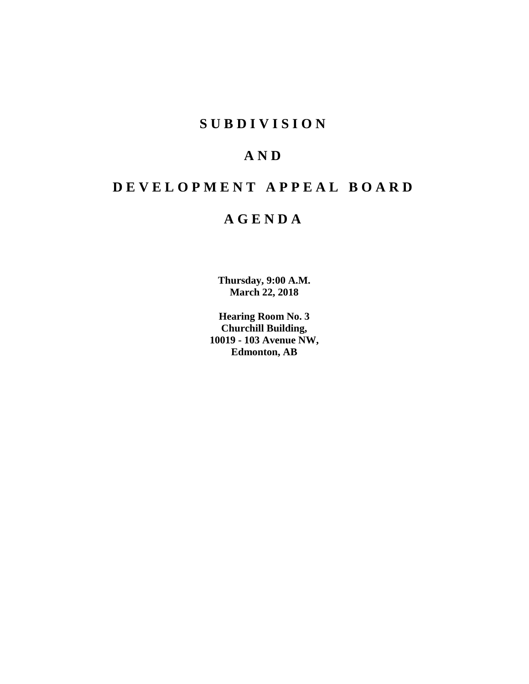# **SUBDIVISION**

# **AND**

# **DEVELOPMENT APPEAL BOARD**

# **AGENDA**

**Thursday, 9:00 A.M. March 22, 2018**

**Hearing Room No. 3 Churchill Building, 10019 - 103 Avenue NW, Edmonton, AB**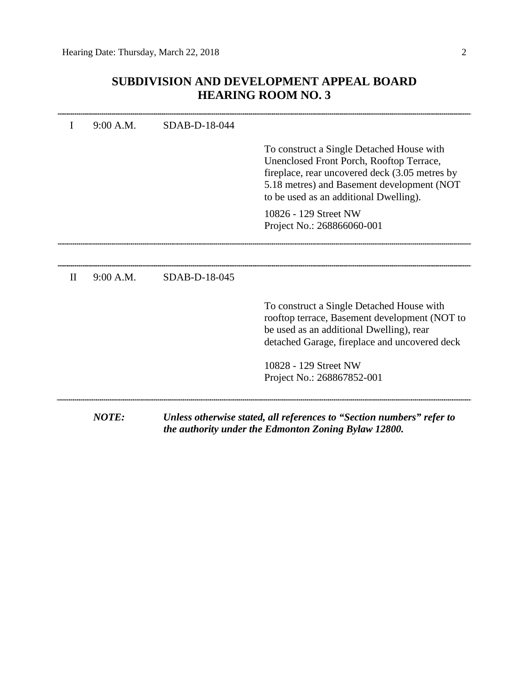# **SUBDIVISION AND DEVELOPMENT APPEAL BOARD HEARING ROOM NO. 3**

|              | 9:00 A.M.    | SDAB-D-18-044 |                                                                                                                                                                                                                                 |
|--------------|--------------|---------------|---------------------------------------------------------------------------------------------------------------------------------------------------------------------------------------------------------------------------------|
|              |              |               | To construct a Single Detached House with<br>Unenclosed Front Porch, Rooftop Terrace,<br>fireplace, rear uncovered deck (3.05 metres by<br>5.18 metres) and Basement development (NOT<br>to be used as an additional Dwelling). |
|              |              |               | 10826 - 129 Street NW<br>Project No.: 268866060-001                                                                                                                                                                             |
|              |              |               |                                                                                                                                                                                                                                 |
| $\mathbf{I}$ | 9:00 A.M.    | SDAB-D-18-045 |                                                                                                                                                                                                                                 |
|              |              |               | To construct a Single Detached House with<br>rooftop terrace, Basement development (NOT to<br>be used as an additional Dwelling), rear<br>detached Garage, fireplace and uncovered deck                                         |
|              |              |               | 10828 - 129 Street NW<br>Project No.: 268867852-001                                                                                                                                                                             |
|              | <b>NOTE:</b> |               | Unless otherwise stated, all references to "Section numbers" refer to<br>the authority under the Edmonton Zoning Bylaw 12800.                                                                                                   |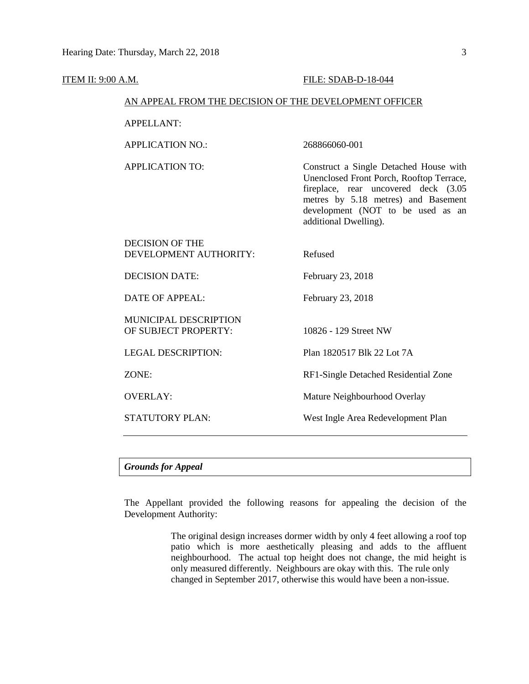#### ITEM II: 9:00 A.M. FILE: SDAB-D-18-044

## AN APPEAL FROM THE DECISION OF THE DEVELOPMENT OFFICER

APPELLANT:

APPLICATION NO.: 268866060-001

APPLICATION TO: Construct a Single Detached House with Unenclosed Front Porch, Rooftop Terrace, fireplace, rear uncovered deck (3.05 metres by 5.18 metres) and Basement development (NOT to be used as an additional Dwelling).

| <b>DECISION OF THE</b><br>DEVELOPMENT AUTHORITY:     | Refused                              |
|------------------------------------------------------|--------------------------------------|
| <b>DECISION DATE:</b>                                | February 23, 2018                    |
| <b>DATE OF APPEAL:</b>                               | February 23, 2018                    |
| <b>MUNICIPAL DESCRIPTION</b><br>OF SUBJECT PROPERTY: | 10826 - 129 Street NW                |
| <b>LEGAL DESCRIPTION:</b>                            | Plan 1820517 Blk 22 Lot 7A           |
| ZONE:                                                | RF1-Single Detached Residential Zone |
| <b>OVERLAY:</b>                                      | Mature Neighbourhood Overlay         |
| <b>STATUTORY PLAN:</b>                               | West Ingle Area Redevelopment Plan   |

# *Grounds for Appeal*

The Appellant provided the following reasons for appealing the decision of the Development Authority:

> The original design increases dormer width by only 4 feet allowing a roof top patio which is more aesthetically pleasing and adds to the affluent neighbourhood. The actual top height does not change, the mid height is only measured differently. Neighbours are okay with this. The rule only changed in September 2017, otherwise this would have been a non-issue.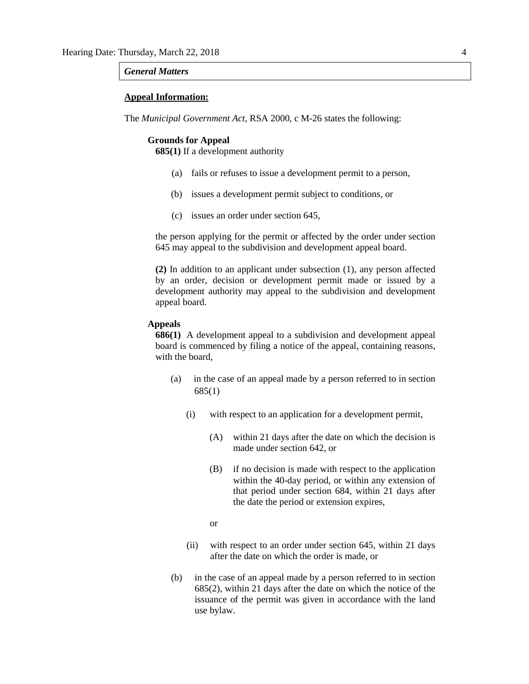#### *General Matters*

## **Appeal Information:**

The *Municipal Government Act*, RSA 2000, c M-26 states the following:

#### **Grounds for Appeal**

**685(1)** If a development authority

- (a) fails or refuses to issue a development permit to a person,
- (b) issues a development permit subject to conditions, or
- (c) issues an order under section 645,

the person applying for the permit or affected by the order under section 645 may appeal to the subdivision and development appeal board.

**(2)** In addition to an applicant under subsection (1), any person affected by an order, decision or development permit made or issued by a development authority may appeal to the subdivision and development appeal board.

## **Appeals**

**686(1)** A development appeal to a subdivision and development appeal board is commenced by filing a notice of the appeal, containing reasons, with the board,

- (a) in the case of an appeal made by a person referred to in section 685(1)
	- (i) with respect to an application for a development permit,
		- (A) within 21 days after the date on which the decision is made under section 642, or
		- (B) if no decision is made with respect to the application within the 40-day period, or within any extension of that period under section 684, within 21 days after the date the period or extension expires,
		- or
	- (ii) with respect to an order under section 645, within 21 days after the date on which the order is made, or
- (b) in the case of an appeal made by a person referred to in section 685(2), within 21 days after the date on which the notice of the issuance of the permit was given in accordance with the land use bylaw.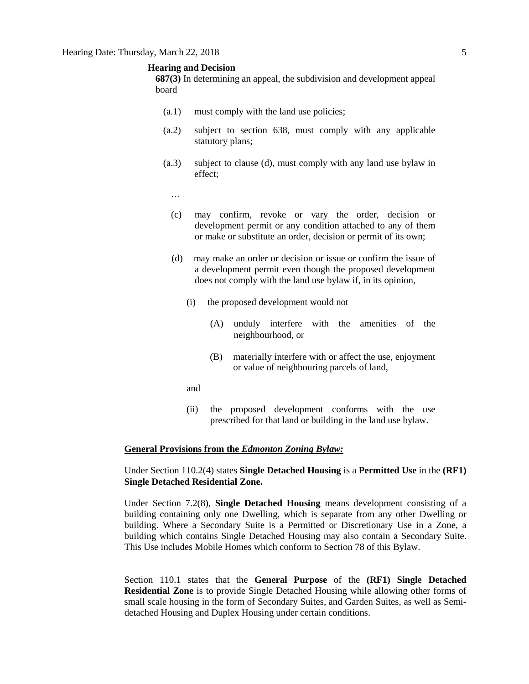#### **Hearing and Decision**

**687(3)** In determining an appeal, the subdivision and development appeal board

- (a.1) must comply with the land use policies;
- (a.2) subject to section 638, must comply with any applicable statutory plans;
- (a.3) subject to clause (d), must comply with any land use bylaw in effect;
	- …
	- (c) may confirm, revoke or vary the order, decision or development permit or any condition attached to any of them or make or substitute an order, decision or permit of its own;
	- (d) may make an order or decision or issue or confirm the issue of a development permit even though the proposed development does not comply with the land use bylaw if, in its opinion,
		- (i) the proposed development would not
			- (A) unduly interfere with the amenities of the neighbourhood, or
			- (B) materially interfere with or affect the use, enjoyment or value of neighbouring parcels of land,
		- and
		- (ii) the proposed development conforms with the use prescribed for that land or building in the land use bylaw.

#### **General Provisions from the** *Edmonton Zoning Bylaw:*

# Under Section 110.2(4) states **Single Detached Housing** is a **Permitted Use** in the **(RF1) Single Detached Residential Zone.**

Under Section 7.2(8), **Single Detached Housing** means development consisting of a building containing only one Dwelling, which is separate from any other Dwelling or building. Where a Secondary Suite is a Permitted or Discretionary Use in a Zone, a building which contains Single Detached Housing may also contain a Secondary Suite. This Use includes Mobile Homes which conform to Section 78 of this Bylaw.

Section 110.1 states that the **General Purpose** of the **(RF1) Single Detached Residential Zone** is to provide Single Detached Housing while allowing other forms of small scale housing in the form of Secondary Suites, and Garden Suites, as well as Semidetached Housing and Duplex Housing under certain conditions.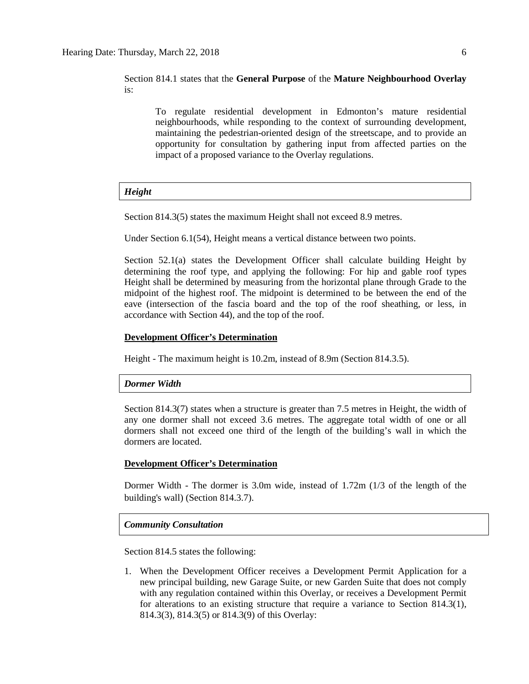Section 814.1 states that the **General Purpose** of the **Mature Neighbourhood Overlay**  is:

To regulate residential development in Edmonton's mature residential neighbourhoods, while responding to the context of surrounding development, maintaining the pedestrian-oriented design of the streetscape, and to provide an opportunity for consultation by gathering input from affected parties on the impact of a proposed variance to the Overlay regulations.

# *Height*

Section 814.3(5) states the maximum Height shall not exceed 8.9 metres.

Under Section 6.1(54), Height means a vertical distance between two points.

Section 52.1(a) states the Development Officer shall calculate building Height by determining the roof type, and applying the following: For hip and gable roof types Height shall be determined by measuring from the horizontal plane through Grade to the midpoint of the highest roof. The midpoint is determined to be between the end of the eave (intersection of the fascia board and the top of the roof sheathing, or less, in accordance with Section 44), and the top of the roof.

## **Development Officer's Determination**

Height - The maximum height is 10.2m, instead of 8.9m (Section 814.3.5).

## *Dormer Width*

Section 814.3(7) states when a structure is greater than 7.5 metres in Height, the width of any one dormer shall not exceed 3.6 metres. The aggregate total width of one or all dormers shall not exceed one third of the length of the building's wall in which the dormers are located.

# **Development Officer's Determination**

Dormer Width - The dormer is 3.0m wide, instead of 1.72m (1/3 of the length of the building's wall) (Section 814.3.7).

## *Community Consultation*

Section 814.5 states the following:

1. When the Development Officer receives a Development Permit Application for a new principal building, new Garage Suite, or new Garden Suite that does not comply with any regulation contained within this Overlay, or receives a Development Permit for alterations to an existing structure that require a variance to Section 814.3(1), 814.3(3), 814.3(5) or 814.3(9) of this Overlay: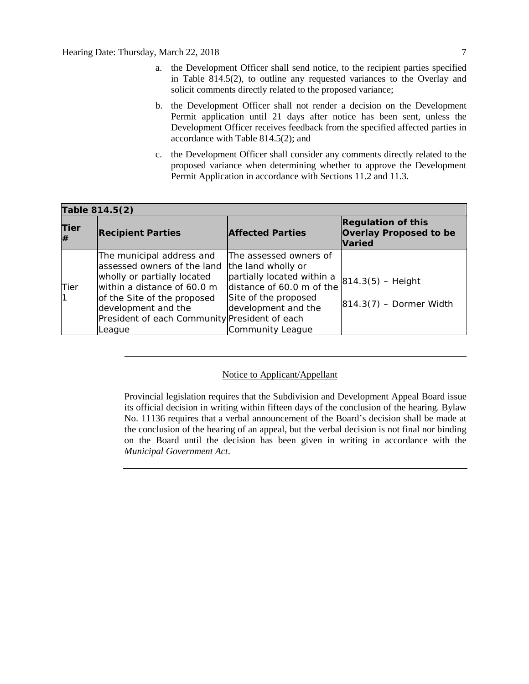- a. the Development Officer shall send notice, to the recipient parties specified in Table 814.5(2), to outline any requested variances to the Overlay and solicit comments directly related to the proposed variance;
- b. the Development Officer shall not render a decision on the Development Permit application until 21 days after notice has been sent, unless the Development Officer receives feedback from the specified affected parties in accordance with Table 814.5(2); and
- c. the Development Officer shall consider any comments directly related to the proposed variance when determining whether to approve the Development Permit Application in accordance with Sections 11.2 and 11.3.

| Table 814.5(2) |                                                                                                                                                                                                                                          |                                                                                                                                                                            |                                                                             |  |  |  |  |
|----------------|------------------------------------------------------------------------------------------------------------------------------------------------------------------------------------------------------------------------------------------|----------------------------------------------------------------------------------------------------------------------------------------------------------------------------|-----------------------------------------------------------------------------|--|--|--|--|
| Tier<br>#      | <b>Recipient Parties</b>                                                                                                                                                                                                                 | <b>Affected Parties</b>                                                                                                                                                    | <b>Regulation of this</b><br><b>Overlay Proposed to be</b><br><b>Varied</b> |  |  |  |  |
| Tier           | The municipal address and<br>lassessed owners of the land<br>wholly or partially located<br>within a distance of 60.0 m<br>of the Site of the proposed<br>development and the<br>President of each Community President of each<br>League | The assessed owners of<br>the land wholly or<br>partially located within a<br>distance of 60.0 m of the<br>Site of the proposed<br>development and the<br>Community League | $ 814.3(5) -$ Height<br>$ 814.3(7)$ – Dormer Width                          |  |  |  |  |

# Notice to Applicant/Appellant

Provincial legislation requires that the Subdivision and Development Appeal Board issue its official decision in writing within fifteen days of the conclusion of the hearing. Bylaw No. 11136 requires that a verbal announcement of the Board's decision shall be made at the conclusion of the hearing of an appeal, but the verbal decision is not final nor binding on the Board until the decision has been given in writing in accordance with the *Municipal Government Act*.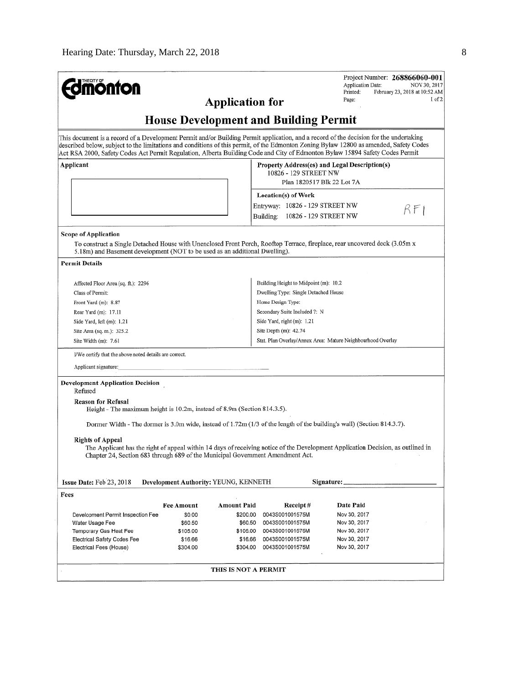| <b>dmönton</b>                                                                                                                                                                                                                                                                                                                                                                                                   | Project Number: 268866060-001<br>Application Date:<br>NOV 30, 2017                                                               |  |  |  |  |  |  |  |
|------------------------------------------------------------------------------------------------------------------------------------------------------------------------------------------------------------------------------------------------------------------------------------------------------------------------------------------------------------------------------------------------------------------|----------------------------------------------------------------------------------------------------------------------------------|--|--|--|--|--|--|--|
|                                                                                                                                                                                                                                                                                                                                                                                                                  | Printed:<br>February 23, 2018 at 10:52 AM                                                                                        |  |  |  |  |  |  |  |
| <b>Application for</b>                                                                                                                                                                                                                                                                                                                                                                                           | I of 2<br>Page:                                                                                                                  |  |  |  |  |  |  |  |
| <b>House Development and Building Permit</b>                                                                                                                                                                                                                                                                                                                                                                     |                                                                                                                                  |  |  |  |  |  |  |  |
| This document is a record of a Development Permit and/or Building Permit application, and a record of the decision for the undertaking<br>described below, subject to the limitations and conditions of this permit, of the Edmonton Zoning Bylaw 12800 as amended, Safety Codes<br>Act RSA 2000, Safety Codes Act Permit Regulation, Alberta Building Code and City of Edmonton Bylaw 15894 Safety Codes Permit |                                                                                                                                  |  |  |  |  |  |  |  |
| Applicant                                                                                                                                                                                                                                                                                                                                                                                                        | Property Address(es) and Legal Description(s)<br>10826 - 129 STREET NW<br>Plan 1820517 Blk 22 Lot 7A                             |  |  |  |  |  |  |  |
|                                                                                                                                                                                                                                                                                                                                                                                                                  | Location(s) of Work                                                                                                              |  |  |  |  |  |  |  |
|                                                                                                                                                                                                                                                                                                                                                                                                                  | Entryway: 10826 - 129 STREET NW                                                                                                  |  |  |  |  |  |  |  |
|                                                                                                                                                                                                                                                                                                                                                                                                                  | RFI                                                                                                                              |  |  |  |  |  |  |  |
|                                                                                                                                                                                                                                                                                                                                                                                                                  | 10826 - 129 STREET NW<br>Building:                                                                                               |  |  |  |  |  |  |  |
| Scope of Application<br>To construct a Single Detached House with Unenclosed Front Porch, Rooftop Terrace, fireplace, rear uncovered deck (3.05m x<br>5.18m) and Basement development (NOT to be used as an additional Dwelling).                                                                                                                                                                                |                                                                                                                                  |  |  |  |  |  |  |  |
| <b>Permit Details</b>                                                                                                                                                                                                                                                                                                                                                                                            |                                                                                                                                  |  |  |  |  |  |  |  |
| Affected Floor Area (sq. ft.): 2296                                                                                                                                                                                                                                                                                                                                                                              | Building Height to Midpoint (m): 10.2                                                                                            |  |  |  |  |  |  |  |
| Class of Permit:                                                                                                                                                                                                                                                                                                                                                                                                 | Dwelling Type: Single Detached House                                                                                             |  |  |  |  |  |  |  |
| Front Yard (m): 8.87                                                                                                                                                                                                                                                                                                                                                                                             | Home Design Type:                                                                                                                |  |  |  |  |  |  |  |
| Rear Yard (m): 17.11                                                                                                                                                                                                                                                                                                                                                                                             | Secondary Suite Included ?: N                                                                                                    |  |  |  |  |  |  |  |
| Side Yard, left (m): 1.21                                                                                                                                                                                                                                                                                                                                                                                        | Side Yard, right (m): 1.21                                                                                                       |  |  |  |  |  |  |  |
| Site Area (sq. m.): 325.2                                                                                                                                                                                                                                                                                                                                                                                        | Site Depth (m): 42.74                                                                                                            |  |  |  |  |  |  |  |
| Site Width (m): 7.61                                                                                                                                                                                                                                                                                                                                                                                             | Stat. Plan Overlay/Annex Area: Mature Neighbourhood Overlay                                                                      |  |  |  |  |  |  |  |
| I/We certify that the above noted details are correct.                                                                                                                                                                                                                                                                                                                                                           |                                                                                                                                  |  |  |  |  |  |  |  |
| Applicant signature:                                                                                                                                                                                                                                                                                                                                                                                             |                                                                                                                                  |  |  |  |  |  |  |  |
| <b>Development Application Decision</b>                                                                                                                                                                                                                                                                                                                                                                          |                                                                                                                                  |  |  |  |  |  |  |  |
| Refused                                                                                                                                                                                                                                                                                                                                                                                                          |                                                                                                                                  |  |  |  |  |  |  |  |
| <b>Reason for Refusal</b>                                                                                                                                                                                                                                                                                                                                                                                        |                                                                                                                                  |  |  |  |  |  |  |  |
| Height - The maximum height is 10.2m, instead of 8.9m (Section 814.3.5).                                                                                                                                                                                                                                                                                                                                         |                                                                                                                                  |  |  |  |  |  |  |  |
| Dormer Width - The dormer is 3.0m wide, instead of 1.72m (1/3 of the length of the building's wall) (Section 814.3.7).                                                                                                                                                                                                                                                                                           |                                                                                                                                  |  |  |  |  |  |  |  |
|                                                                                                                                                                                                                                                                                                                                                                                                                  |                                                                                                                                  |  |  |  |  |  |  |  |
| <b>Rights of Appeal</b><br>Chapter 24, Section 683 through 689 of the Municipal Government Amendment Act.                                                                                                                                                                                                                                                                                                        | The Applicant has the right of appeal within 14 days of receiving notice of the Development Application Decision, as outlined in |  |  |  |  |  |  |  |
| Issue Date: Feb 23, 2018<br>Development Authority: YEUNG, KENNETH                                                                                                                                                                                                                                                                                                                                                | Signature:                                                                                                                       |  |  |  |  |  |  |  |
| Fees                                                                                                                                                                                                                                                                                                                                                                                                             |                                                                                                                                  |  |  |  |  |  |  |  |
|                                                                                                                                                                                                                                                                                                                                                                                                                  |                                                                                                                                  |  |  |  |  |  |  |  |
| Amount Paid<br><b>Fee Amount</b><br>\$0.00<br>Development Permit Inspection Fee                                                                                                                                                                                                                                                                                                                                  | Receipt#<br>Date Paid<br>\$200.00<br>0043S001001575M<br>Nov 30, 2017                                                             |  |  |  |  |  |  |  |
| Water Usage Fee<br>\$60.50                                                                                                                                                                                                                                                                                                                                                                                       | \$60.50<br>0043S001001575M<br>Nov 30, 2017                                                                                       |  |  |  |  |  |  |  |
| Temporary Gas Heat Fee<br>\$105.00                                                                                                                                                                                                                                                                                                                                                                               | \$105.00<br>0043S001001575M<br>Nov 30, 2017                                                                                      |  |  |  |  |  |  |  |
| Electrical Safety Codes Fee<br>\$16.66                                                                                                                                                                                                                                                                                                                                                                           | \$16.66<br>0043S001001575M<br>Nov 30, 2017                                                                                       |  |  |  |  |  |  |  |
| Electrical Fees (House)<br>\$304.00                                                                                                                                                                                                                                                                                                                                                                              | \$304.00<br>0043S001001575M<br>Nov 30, 2017                                                                                      |  |  |  |  |  |  |  |
|                                                                                                                                                                                                                                                                                                                                                                                                                  |                                                                                                                                  |  |  |  |  |  |  |  |
|                                                                                                                                                                                                                                                                                                                                                                                                                  | THIS IS NOT A PERMIT                                                                                                             |  |  |  |  |  |  |  |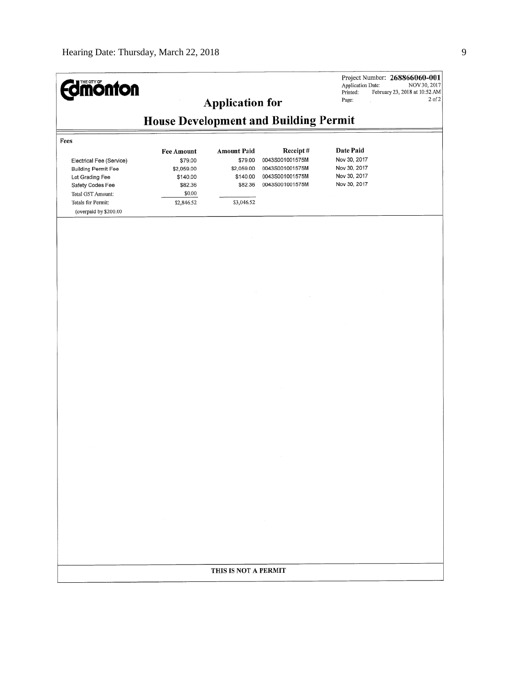| <b>Edmonton</b>                                                                                                                                                   |                                                                      | <b>Application for</b>                                     |                                                                          | Application Date:<br>Printed:<br>Page:                       | Project Number: 268866060-001<br>NOV 30, 2017<br>February 23, 2018 at 10:52 AM<br>$2$ of $2$ |  |  |  |
|-------------------------------------------------------------------------------------------------------------------------------------------------------------------|----------------------------------------------------------------------|------------------------------------------------------------|--------------------------------------------------------------------------|--------------------------------------------------------------|----------------------------------------------------------------------------------------------|--|--|--|
| <b>House Development and Building Permit</b>                                                                                                                      |                                                                      |                                                            |                                                                          |                                                              |                                                                                              |  |  |  |
| Fees                                                                                                                                                              | <b>Fee Amount</b>                                                    | <b>Amount Paid</b>                                         | Receipt#                                                                 | Date Paid                                                    |                                                                                              |  |  |  |
| Electrical Fee (Service)<br><b>Building Permit Fee</b><br>Lot Grading Fee<br>Safety Codes Fee<br>Total GST Amount:<br>Totals for Permit:<br>(overpaid by \$200.00 | \$79.00<br>\$2,059.00<br>\$140.00<br>\$82.36<br>\$0.00<br>\$2,846.52 | \$79.00<br>\$2,059.00<br>\$140.00<br>\$82.36<br>\$3,046.52 | 0043S001001575M<br>0043S001001575M<br>0043S001001575M<br>0043S001001575M | Nov 30, 2017<br>Nov 30, 2017<br>Nov 30, 2017<br>Nov 30, 2017 |                                                                                              |  |  |  |
|                                                                                                                                                                   |                                                                      |                                                            |                                                                          |                                                              |                                                                                              |  |  |  |
|                                                                                                                                                                   |                                                                      |                                                            |                                                                          |                                                              |                                                                                              |  |  |  |
|                                                                                                                                                                   |                                                                      |                                                            |                                                                          |                                                              |                                                                                              |  |  |  |
|                                                                                                                                                                   |                                                                      |                                                            |                                                                          |                                                              |                                                                                              |  |  |  |
|                                                                                                                                                                   |                                                                      |                                                            |                                                                          |                                                              |                                                                                              |  |  |  |
|                                                                                                                                                                   |                                                                      |                                                            |                                                                          |                                                              |                                                                                              |  |  |  |
|                                                                                                                                                                   |                                                                      |                                                            |                                                                          |                                                              |                                                                                              |  |  |  |
|                                                                                                                                                                   |                                                                      |                                                            |                                                                          |                                                              |                                                                                              |  |  |  |
|                                                                                                                                                                   |                                                                      |                                                            |                                                                          |                                                              |                                                                                              |  |  |  |
|                                                                                                                                                                   |                                                                      |                                                            |                                                                          |                                                              |                                                                                              |  |  |  |
|                                                                                                                                                                   |                                                                      |                                                            | $\sim$                                                                   |                                                              |                                                                                              |  |  |  |
|                                                                                                                                                                   |                                                                      |                                                            |                                                                          |                                                              |                                                                                              |  |  |  |
|                                                                                                                                                                   |                                                                      | THIS IS NOT A PERMIT                                       |                                                                          |                                                              |                                                                                              |  |  |  |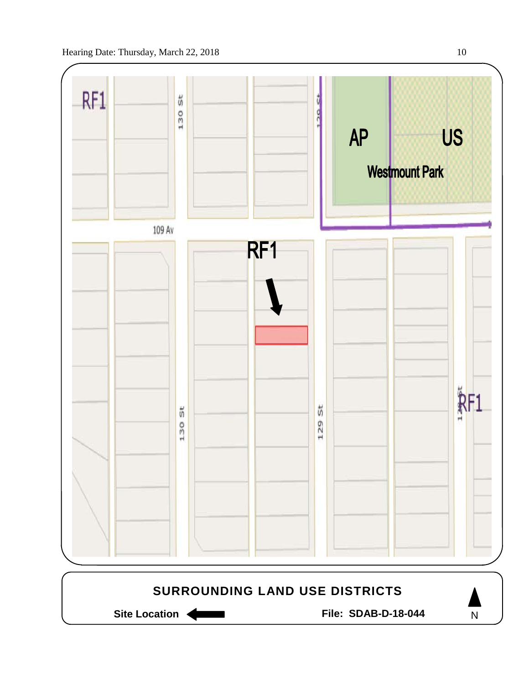

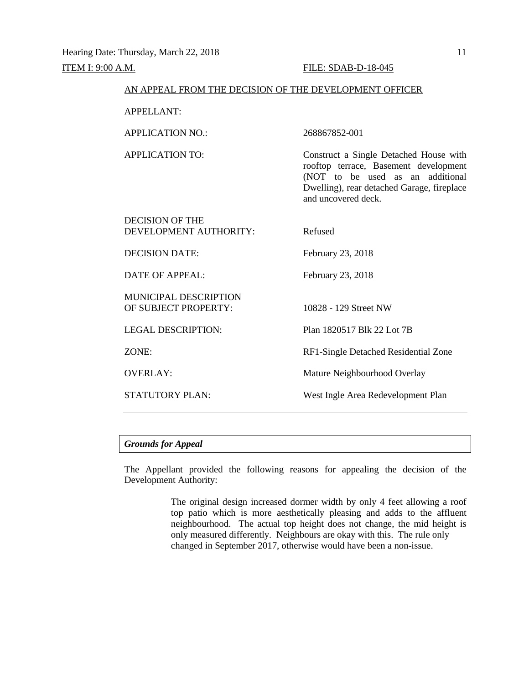| AN APPEAL FROM THE DECISION OF THE DEVELOPMENT OFFICER |                                                                                                                                                                                          |  |  |  |  |
|--------------------------------------------------------|------------------------------------------------------------------------------------------------------------------------------------------------------------------------------------------|--|--|--|--|
| <b>APPELLANT:</b>                                      |                                                                                                                                                                                          |  |  |  |  |
| <b>APPLICATION NO.:</b>                                | 268867852-001                                                                                                                                                                            |  |  |  |  |
| APPLICATION TO:                                        | Construct a Single Detached House with<br>rooftop terrace, Basement development<br>(NOT to be used as an additional<br>Dwelling), rear detached Garage, fireplace<br>and uncovered deck. |  |  |  |  |
| <b>DECISION OF THE</b><br>DEVELOPMENT AUTHORITY:       | Refused                                                                                                                                                                                  |  |  |  |  |
| <b>DECISION DATE:</b>                                  | February 23, 2018                                                                                                                                                                        |  |  |  |  |
| <b>DATE OF APPEAL:</b>                                 | February 23, 2018                                                                                                                                                                        |  |  |  |  |
| <b>MUNICIPAL DESCRIPTION</b><br>OF SUBJECT PROPERTY:   | 10828 - 129 Street NW                                                                                                                                                                    |  |  |  |  |
| <b>LEGAL DESCRIPTION:</b>                              | Plan 1820517 Blk 22 Lot 7B                                                                                                                                                               |  |  |  |  |
| ZONE:                                                  | RF1-Single Detached Residential Zone                                                                                                                                                     |  |  |  |  |
| <b>OVERLAY:</b>                                        | Mature Neighbourhood Overlay                                                                                                                                                             |  |  |  |  |
| <b>STATUTORY PLAN:</b>                                 | West Ingle Area Redevelopment Plan                                                                                                                                                       |  |  |  |  |
|                                                        |                                                                                                                                                                                          |  |  |  |  |

# *Grounds for Appeal*

The Appellant provided the following reasons for appealing the decision of the Development Authority:

> The original design increased dormer width by only 4 feet allowing a roof top patio which is more aesthetically pleasing and adds to the affluent neighbourhood. The actual top height does not change, the mid height is only measured differently. Neighbours are okay with this. The rule only changed in September 2017, otherwise would have been a non-issue.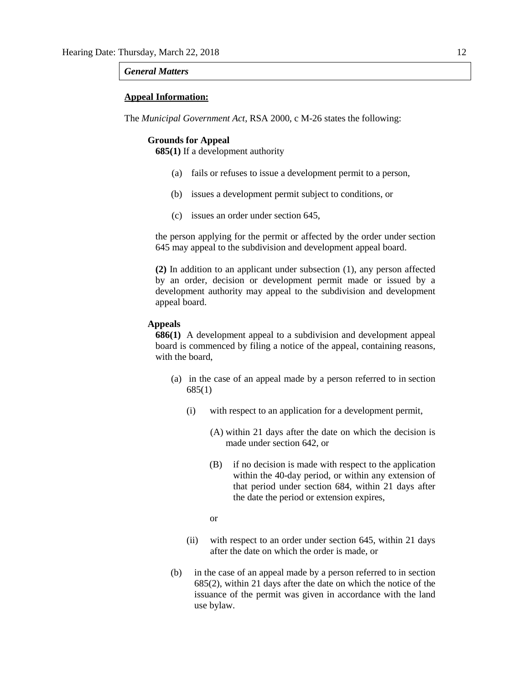#### *General Matters*

#### **Appeal Information:**

The *Municipal Government Act*, RSA 2000, c M-26 states the following:

#### **Grounds for Appeal**

**685(1)** If a development authority

- (a) fails or refuses to issue a development permit to a person,
- (b) issues a development permit subject to conditions, or
- (c) issues an order under section 645,

the person applying for the permit or affected by the order under section 645 may appeal to the subdivision and development appeal board.

**(2)** In addition to an applicant under subsection (1), any person affected by an order, decision or development permit made or issued by a development authority may appeal to the subdivision and development appeal board.

## **Appeals**

**686(1)** A development appeal to a subdivision and development appeal board is commenced by filing a notice of the appeal, containing reasons, with the board,

- (a) in the case of an appeal made by a person referred to in section 685(1)
	- (i) with respect to an application for a development permit,
		- (A) within 21 days after the date on which the decision is made under section 642, or
		- (B) if no decision is made with respect to the application within the 40-day period, or within any extension of that period under section 684, within 21 days after the date the period or extension expires,
		- or
	- (ii) with respect to an order under section 645, within 21 days after the date on which the order is made, or
- (b) in the case of an appeal made by a person referred to in section 685(2), within 21 days after the date on which the notice of the issuance of the permit was given in accordance with the land use bylaw.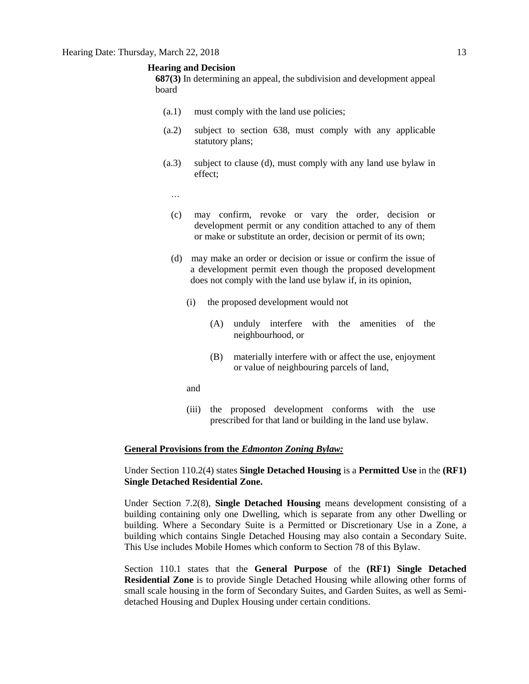#### **Hearing and Decision**

**687(3)** In determining an appeal, the subdivision and development appeal board

- (a.1) must comply with the land use policies;
- (a.2) subject to section 638, must comply with any applicable statutory plans;
- (a.3) subject to clause (d), must comply with any land use bylaw in effect;
	- …
	- (c) may confirm, revoke or vary the order, decision or development permit or any condition attached to any of them or make or substitute an order, decision or permit of its own;
	- (d) may make an order or decision or issue or confirm the issue of a development permit even though the proposed development does not comply with the land use bylaw if, in its opinion,
		- (i) the proposed development would not
			- (A) unduly interfere with the amenities of the neighbourhood, or
			- (B) materially interfere with or affect the use, enjoyment or value of neighbouring parcels of land,
		- and
		- (iii) the proposed development conforms with the use prescribed for that land or building in the land use bylaw.

#### **General Provisions from the** *Edmonton Zoning Bylaw:*

# Under Section 110.2(4) states **Single Detached Housing** is a **Permitted Use** in the **(RF1) Single Detached Residential Zone.**

Under Section 7.2(8), **Single Detached Housing** means development consisting of a building containing only one Dwelling, which is separate from any other Dwelling or building. Where a Secondary Suite is a Permitted or Discretionary Use in a Zone, a building which contains Single Detached Housing may also contain a Secondary Suite. This Use includes Mobile Homes which conform to Section 78 of this Bylaw.

Section 110.1 states that the **General Purpose** of the **(RF1) Single Detached Residential Zone** is to provide Single Detached Housing while allowing other forms of small scale housing in the form of Secondary Suites, and Garden Suites, as well as Semidetached Housing and Duplex Housing under certain conditions.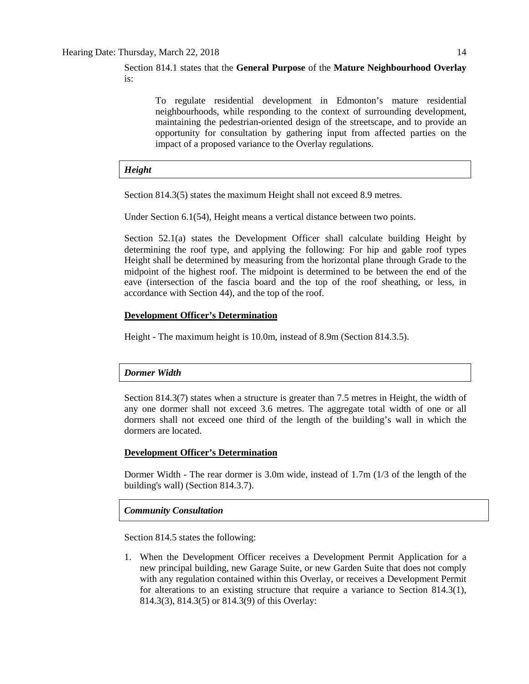Section 814.1 states that the **General Purpose** of the **Mature Neighbourhood Overlay**  is:

To regulate residential development in Edmonton's mature residential neighbourhoods, while responding to the context of surrounding development, maintaining the pedestrian-oriented design of the streetscape, and to provide an opportunity for consultation by gathering input from affected parties on the impact of a proposed variance to the Overlay regulations.

# *Height*

Section 814.3(5) states the maximum Height shall not exceed 8.9 metres.

Under Section 6.1(54), Height means a vertical distance between two points.

Section 52.1(a) states the Development Officer shall calculate building Height by determining the roof type, and applying the following: For hip and gable roof types Height shall be determined by measuring from the horizontal plane through Grade to the midpoint of the highest roof. The midpoint is determined to be between the end of the eave (intersection of the fascia board and the top of the roof sheathing, or less, in accordance with Section 44), and the top of the roof.

# **Development Officer's Determination**

Height - The maximum height is 10.0m, instead of 8.9m (Section 814.3.5).

# *Dormer Width*

Section 814.3(7) states when a structure is greater than 7.5 metres in Height, the width of any one dormer shall not exceed 3.6 metres. The aggregate total width of one or all dormers shall not exceed one third of the length of the building's wall in which the dormers are located.

# **Development Officer's Determination**

Dormer Width - The rear dormer is 3.0m wide, instead of 1.7m (1/3 of the length of the building's wall) (Section 814.3.7).

# *Community Consultation*

Section 814.5 states the following:

1. When the Development Officer receives a Development Permit Application for a new principal building, new Garage Suite, or new Garden Suite that does not comply with any regulation contained within this Overlay, or receives a Development Permit for alterations to an existing structure that require a variance to Section 814.3(1), 814.3(3), 814.3(5) or 814.3(9) of this Overlay: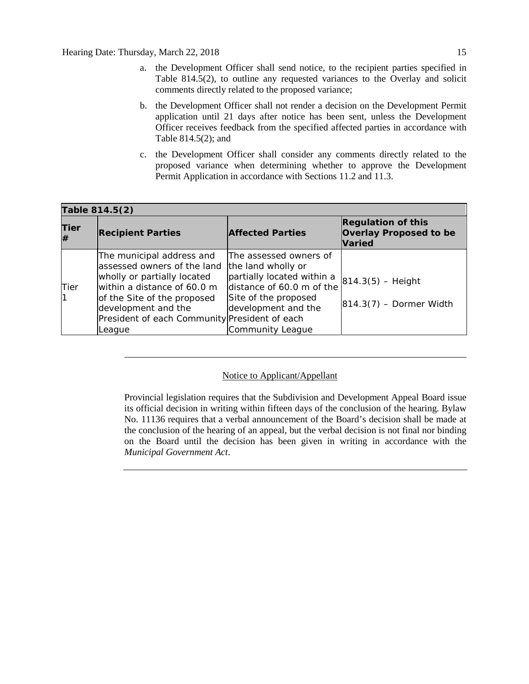- a. the Development Officer shall send notice, to the recipient parties specified in Table 814.5(2), to outline any requested variances to the Overlay and solicit comments directly related to the proposed variance;
- b. the Development Officer shall not render a decision on the Development Permit application until 21 days after notice has been sent, unless the Development Officer receives feedback from the specified affected parties in accordance with Table 814.5(2); and
- c. the Development Officer shall consider any comments directly related to the proposed variance when determining whether to approve the Development Permit Application in accordance with Sections 11.2 and 11.3.

| Table 814.5(2) |                                                                                                                                                                                                                                         |                                                                                                                                                                            |                                                                             |  |  |  |  |
|----------------|-----------------------------------------------------------------------------------------------------------------------------------------------------------------------------------------------------------------------------------------|----------------------------------------------------------------------------------------------------------------------------------------------------------------------------|-----------------------------------------------------------------------------|--|--|--|--|
| Tier<br>#      | <b>Recipient Parties</b>                                                                                                                                                                                                                | <b>Affected Parties</b>                                                                                                                                                    | <b>Regulation of this</b><br><b>Overlay Proposed to be</b><br><b>Varied</b> |  |  |  |  |
| Tier           | The municipal address and<br>assessed owners of the land<br>wholly or partially located<br>within a distance of 60.0 m<br>of the Site of the proposed<br>development and the<br>President of each Community President of each<br>League | The assessed owners of<br>the land wholly or<br>partially located within a<br>distance of 60.0 m of the<br>Site of the proposed<br>development and the<br>Community League | $ 814.3(5) -$ Height<br>$ 814.3(7)$ – Dormer Width                          |  |  |  |  |

# Notice to Applicant/Appellant

Provincial legislation requires that the Subdivision and Development Appeal Board issue its official decision in writing within fifteen days of the conclusion of the hearing. Bylaw No. 11136 requires that a verbal announcement of the Board's decision shall be made at the conclusion of the hearing of an appeal, but the verbal decision is not final nor binding on the Board until the decision has been given in writing in accordance with the *Municipal Government Act*.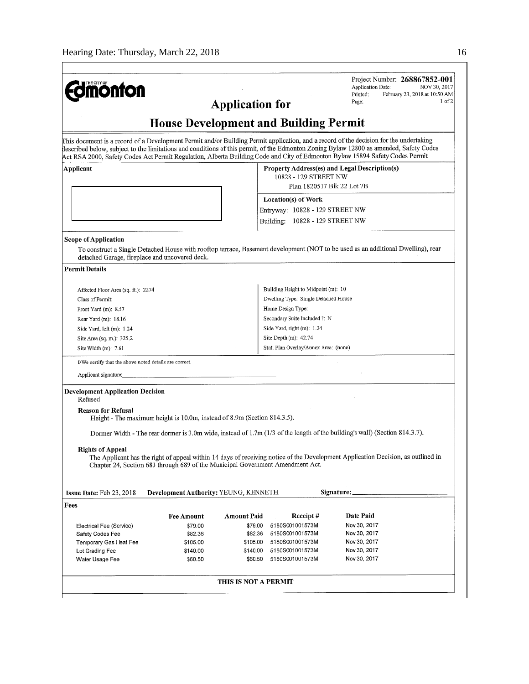$\mathbf{r}$ 

|                                                                                |                                              |             |                                                                        | Project Number: 268867852-001<br>Application Date:<br>NOV 30, 2017                                                                                                                                                                                                     |  |  |  |  |
|--------------------------------------------------------------------------------|----------------------------------------------|-------------|------------------------------------------------------------------------|------------------------------------------------------------------------------------------------------------------------------------------------------------------------------------------------------------------------------------------------------------------------|--|--|--|--|
| <b>dmonton</b>                                                                 |                                              |             |                                                                        | Printed:<br>February 23, 2018 at 10:50 AM<br>1 <sub>of</sub> 2                                                                                                                                                                                                         |  |  |  |  |
| Page:<br><b>Application for</b>                                                |                                              |             |                                                                        |                                                                                                                                                                                                                                                                        |  |  |  |  |
| <b>House Development and Building Permit</b>                                   |                                              |             |                                                                        |                                                                                                                                                                                                                                                                        |  |  |  |  |
|                                                                                |                                              |             |                                                                        | This document is a record of a Development Permit and/or Building Permit application, and a record of the decision for the undertaking                                                                                                                                 |  |  |  |  |
|                                                                                |                                              |             |                                                                        | described below, subject to the limitations and conditions of this permit, of the Edmonton Zoning Bylaw 12800 as amended, Safety Codes<br>Act RSA 2000, Safety Codes Act Permit Regulation, Alberta Building Code and City of Edmonton Bylaw 15894 Safety Codes Permit |  |  |  |  |
| Applicant                                                                      |                                              |             | Property Address(es) and Legal Description(s)<br>10828 - 129 STREET NW |                                                                                                                                                                                                                                                                        |  |  |  |  |
|                                                                                |                                              |             | Plan 1820517 Blk 22 Lot 7B                                             |                                                                                                                                                                                                                                                                        |  |  |  |  |
|                                                                                |                                              |             | Location(s) of Work                                                    |                                                                                                                                                                                                                                                                        |  |  |  |  |
|                                                                                |                                              |             | Entryway: 10828 - 129 STREET NW                                        |                                                                                                                                                                                                                                                                        |  |  |  |  |
|                                                                                |                                              |             | Building: 10828 - 129 STREET NW                                        |                                                                                                                                                                                                                                                                        |  |  |  |  |
| <b>Scope of Application</b>                                                    |                                              |             |                                                                        |                                                                                                                                                                                                                                                                        |  |  |  |  |
| detached Garage, fireplace and uncovered deck.                                 |                                              |             |                                                                        | To construct a Single Detached House with rooftop terrace, Basement development (NOT to be used as an additional Dwelling), rear                                                                                                                                       |  |  |  |  |
| <b>Permit Details</b>                                                          |                                              |             |                                                                        |                                                                                                                                                                                                                                                                        |  |  |  |  |
| Affected Floor Area (sq. ft.): 2274                                            |                                              |             | Building Height to Midpoint (m): 10                                    |                                                                                                                                                                                                                                                                        |  |  |  |  |
| Class of Permit:                                                               |                                              |             | Dwelling Type: Single Detached House                                   |                                                                                                                                                                                                                                                                        |  |  |  |  |
| Front Yard $(m)$ : 8.57                                                        |                                              |             | Home Design Type:                                                      |                                                                                                                                                                                                                                                                        |  |  |  |  |
| Rear Yard (m): 18.16                                                           |                                              |             | Secondary Suite Included ?: N                                          |                                                                                                                                                                                                                                                                        |  |  |  |  |
| Side Yard, left (m): 1.24                                                      |                                              |             | Side Yard, right (m): 1.24                                             |                                                                                                                                                                                                                                                                        |  |  |  |  |
| Site Area (sq. m.): 325.2                                                      |                                              |             | Site Depth (m): 42.74                                                  |                                                                                                                                                                                                                                                                        |  |  |  |  |
| Site Width (m): 7.61                                                           |                                              |             | Stat. Plan Overlay/Annex Area: (none)                                  |                                                                                                                                                                                                                                                                        |  |  |  |  |
| I/We certify that the above noted details are correct.                         |                                              |             |                                                                        |                                                                                                                                                                                                                                                                        |  |  |  |  |
| Applicant signature:                                                           |                                              |             |                                                                        |                                                                                                                                                                                                                                                                        |  |  |  |  |
| <b>Development Application Decision</b><br>Refused                             |                                              |             |                                                                        |                                                                                                                                                                                                                                                                        |  |  |  |  |
| <b>Reason for Refusal</b>                                                      |                                              |             |                                                                        |                                                                                                                                                                                                                                                                        |  |  |  |  |
| Height - The maximum height is 10.0m, instead of 8.9m (Section 814.3.5).       |                                              |             |                                                                        |                                                                                                                                                                                                                                                                        |  |  |  |  |
|                                                                                |                                              |             |                                                                        | Dormer Width - The rear dormer is 3.0m wide, instead of 1.7m (1/3 of the length of the building's wall) (Section 814.3.7).                                                                                                                                             |  |  |  |  |
| <b>Rights of Appeal</b>                                                        |                                              |             |                                                                        |                                                                                                                                                                                                                                                                        |  |  |  |  |
| Chapter 24, Section 683 through 689 of the Municipal Government Amendment Act. |                                              |             |                                                                        | The Applicant has the right of appeal within 14 days of receiving notice of the Development Application Decision, as outlined in                                                                                                                                       |  |  |  |  |
| <b>Issue Date:</b> Feb 23, 2018                                                | <b>Development Authority: YEUNG, KENNETH</b> |             |                                                                        | Signature:                                                                                                                                                                                                                                                             |  |  |  |  |
| Fees                                                                           |                                              |             |                                                                        |                                                                                                                                                                                                                                                                        |  |  |  |  |
|                                                                                | <b>Fee Amount</b>                            | Amount Paid | Receipt#                                                               | Date Paid                                                                                                                                                                                                                                                              |  |  |  |  |
| Electrical Fee (Service)                                                       | \$79.00                                      | \$79.00     | 5180S001001573M                                                        | Nov 30, 2017                                                                                                                                                                                                                                                           |  |  |  |  |
| Safety Codes Fee                                                               | \$82.36                                      | \$82.36     | 5180S001001573M                                                        | Nov 30, 2017                                                                                                                                                                                                                                                           |  |  |  |  |
| Temporary Gas Heat Fee                                                         | \$105.00                                     | \$105.00    | 5180S001001573M                                                        | Nov 30, 2017                                                                                                                                                                                                                                                           |  |  |  |  |
| Lot Grading Fee                                                                | \$140.00                                     | \$140.00    | 5180S001001573M                                                        | Nov 30, 2017                                                                                                                                                                                                                                                           |  |  |  |  |
| Water Usage Fee                                                                | \$60.50                                      | \$60.50     | 5180S001001573M                                                        | Nov 30, 2017                                                                                                                                                                                                                                                           |  |  |  |  |
|                                                                                |                                              |             |                                                                        |                                                                                                                                                                                                                                                                        |  |  |  |  |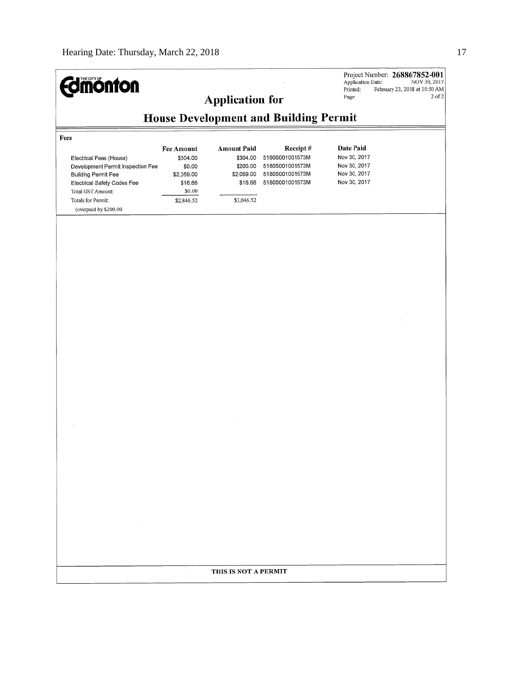| <b>dmönton</b>                                                                                                      |                                              | <b>Application for</b>            |                                                       | Application Date:<br>Printed:<br>Page:       | Project Number: 268867852-001<br>NOV 30, 2017<br>February 23, 2018 at 10:50 AM<br>$2$ of $2$ |  |  |  |
|---------------------------------------------------------------------------------------------------------------------|----------------------------------------------|-----------------------------------|-------------------------------------------------------|----------------------------------------------|----------------------------------------------------------------------------------------------|--|--|--|
|                                                                                                                     | <b>House Development and Building Permit</b> |                                   |                                                       |                                              |                                                                                              |  |  |  |
| Fees<br>Electrical Fees (House)                                                                                     | <b>Fee Amount</b><br>\$304.00                | <b>Amount Paid</b><br>\$304.00    | Receipt#<br>5180S001001573M                           | Date Paid<br>Nov 30, 2017                    |                                                                                              |  |  |  |
| Development Permit Inspection Fee<br><b>Building Permit Fee</b><br>Electrical Safety Codes Fee<br>Total GST Amount: | \$0.00<br>\$2,059.00<br>\$16.66<br>\$0.00    | \$200.00<br>\$2,059.00<br>\$16.66 | 5180S001001573M<br>5180S001001573M<br>5180S001001573M | Nov 30, 2017<br>Nov 30, 2017<br>Nov 30, 2017 |                                                                                              |  |  |  |
| Totals for Permit:<br>(overpaid by \$200.00                                                                         | \$2,846.52                                   | \$3,046.52                        |                                                       |                                              |                                                                                              |  |  |  |
|                                                                                                                     |                                              |                                   |                                                       |                                              |                                                                                              |  |  |  |
|                                                                                                                     |                                              |                                   |                                                       |                                              |                                                                                              |  |  |  |
|                                                                                                                     |                                              |                                   |                                                       |                                              |                                                                                              |  |  |  |
|                                                                                                                     |                                              | THIS IS NOT A PERMIT              |                                                       |                                              |                                                                                              |  |  |  |